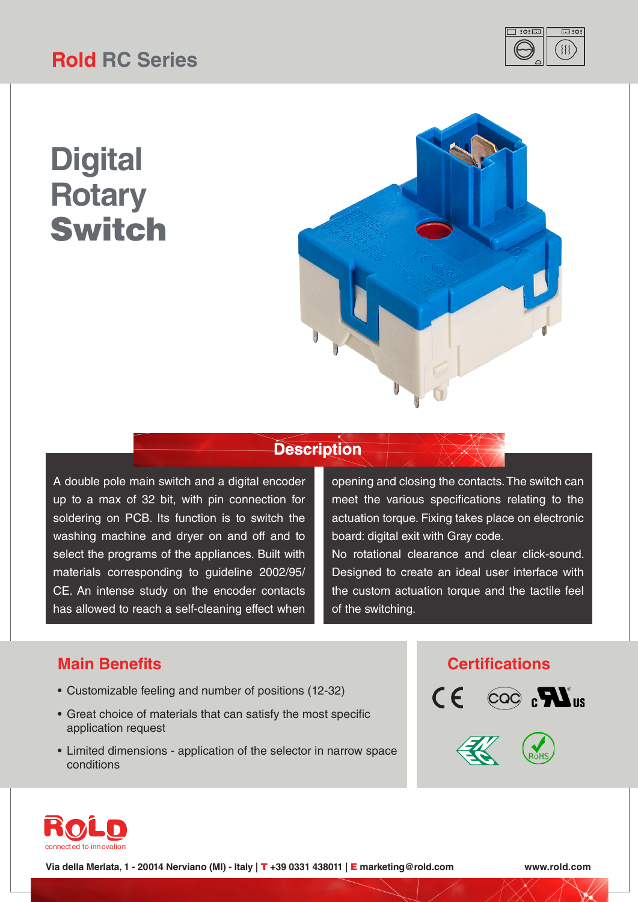# **Rold RC Series**



# **Digital Rotary** Switch



### **Description**

A double pole main switch and a digital encoder up to a max of 32 bit, with pin connection for soldering on PCB. Its function is to switch the washing machine and dryer on and off and to select the programs of the appliances. Built with materials corresponding to guideline 2002/95/ CE. An intense study on the encoder contacts has allowed to reach a self-cleaning effect when

opening and closing the contacts. The switch can meet the various specifications relating to the actuation torque. Fixing takes place on electronic board: digital exit with Gray code.

No rotational clearance and clear click-sound. Designed to create an ideal user interface with the custom actuation torque and the tactile feel of the switching.

### **Main Benefits Certifications**

- Customizable feeling and number of positions (12-32)
- Great choice of materials that can satisfy the most specific application request
- Limited dimensions application of the selector in narrow space conditions